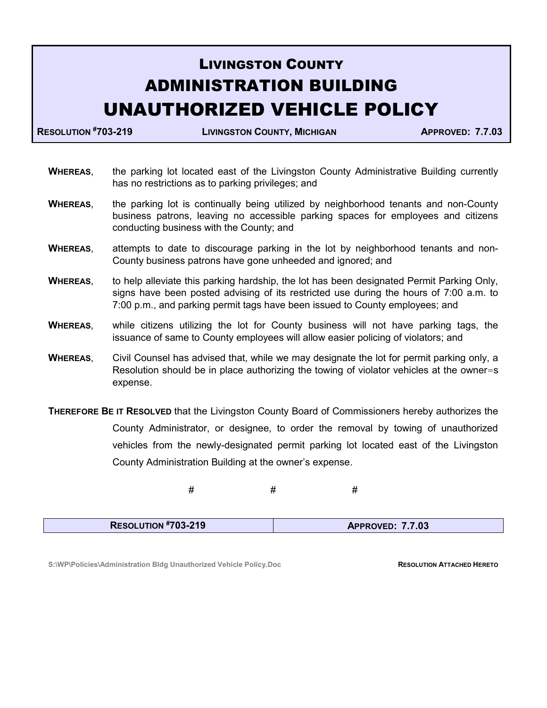## LIVINGSTON COUNTY ADMINISTRATION BUILDING UNAUTHORIZED VEHICLE POLICY

RESOLUTION #703-219 LIVINGSTON COUNTY, MICHIGAN APPROVED: 7.7.03

- WHEREAS, the parking lot located east of the Livingston County Administrative Building currently has no restrictions as to parking privileges; and
- WHEREAS, the parking lot is continually being utilized by neighborhood tenants and non-County business patrons, leaving no accessible parking spaces for employees and citizens conducting business with the County; and
- WHEREAS, attempts to date to discourage parking in the lot by neighborhood tenants and non-County business patrons have gone unheeded and ignored; and
- WHEREAS, to help alleviate this parking hardship, the lot has been designated Permit Parking Only, signs have been posted advising of its restricted use during the hours of 7:00 a.m. to 7:00 p.m., and parking permit tags have been issued to County employees; and
- WHEREAS, while citizens utilizing the lot for County business will not have parking tags, the issuance of same to County employees will allow easier policing of violators; and
- WHEREAS, Civil Counsel has advised that, while we may designate the lot for permit parking only, a Resolution should be in place authorizing the towing of violator vehicles at the owner=s expense.

**THEREFORE BE IT RESOLVED** that the Livingston County Board of Commissioners hereby authorizes the County Administrator, or designee, to order the removal by towing of unauthorized vehicles from the newly-designated permit parking lot located east of the Livingston County Administration Building at the owner's expense.

 $\#$   $\#$   $\#$ 

|--|

S:\WP\Policies\Administration Bldg Unauthorized Vehicle Policy.Doc **RESOLUTION ATTACHED HERETO**